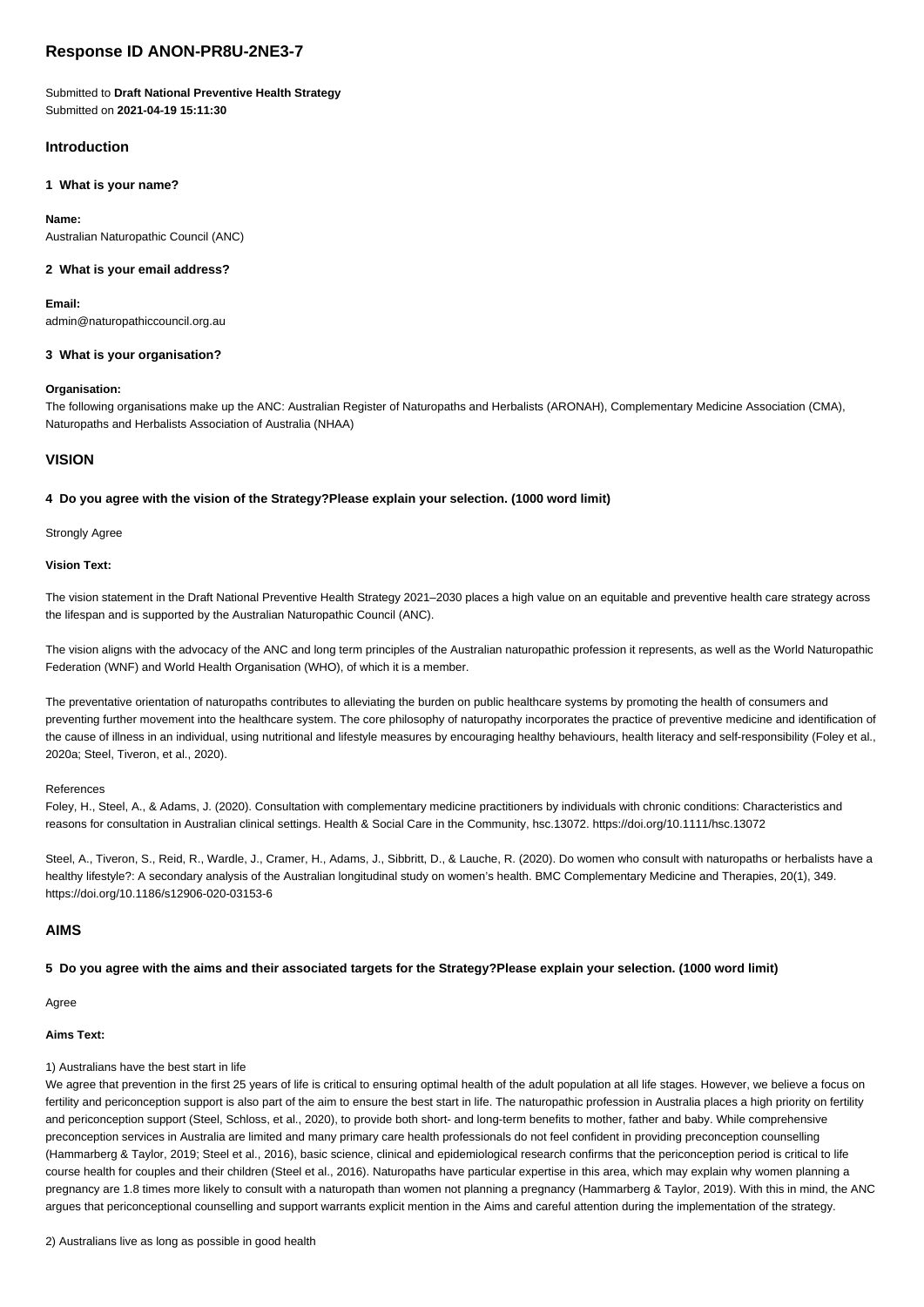# **Response ID ANON-PR8U-2NE3-7**

## Submitted to **Draft National Preventive Health Strategy** Submitted on **2021-04-19 15:11:30**

# **Introduction**

# **1 What is your name?**

# **Name:**

Australian Naturopathic Council (ANC)

# **2 What is your email address?**

**Email:**

admin@naturopathiccouncil.org.au

# **3 What is your organisation?**

# **Organisation:**

The following organisations make up the ANC: Australian Register of Naturopaths and Herbalists (ARONAH), Complementary Medicine Association (CMA), Naturopaths and Herbalists Association of Australia (NHAA)

## **VISION**

## **4 Do you agree with the vision of the Strategy?Please explain your selection. (1000 word limit)**

Strongly Agree

## **Vision Text:**

The vision statement in the Draft National Preventive Health Strategy 2021–2030 places a high value on an equitable and preventive health care strategy across the lifespan and is supported by the Australian Naturopathic Council (ANC).

The vision aligns with the advocacy of the ANC and long term principles of the Australian naturopathic profession it represents, as well as the World Naturopathic Federation (WNF) and World Health Organisation (WHO), of which it is a member.

The preventative orientation of naturopaths contributes to alleviating the burden on public healthcare systems by promoting the health of consumers and preventing further movement into the healthcare system. The core philosophy of naturopathy incorporates the practice of preventive medicine and identification of the cause of illness in an individual, using nutritional and lifestyle measures by encouraging healthy behaviours, health literacy and self-responsibility (Foley et al., 2020a; Steel, Tiveron, et al., 2020).

## References

Foley, H., Steel, A., & Adams, J. (2020). Consultation with complementary medicine practitioners by individuals with chronic conditions: Characteristics and reasons for consultation in Australian clinical settings. Health & Social Care in the Community, hsc.13072. https://doi.org/10.1111/hsc.13072

Steel, A., Tiveron, S., Reid, R., Wardle, J., Cramer, H., Adams, J., Sibbritt, D., & Lauche, R. (2020). Do women who consult with naturopaths or herbalists have a healthy lifestyle?: A secondary analysis of the Australian longitudinal study on women's health. BMC Complementary Medicine and Therapies, 20(1), 349. https://doi.org/10.1186/s12906-020-03153-6

## **AIMS**

**5 Do you agree with the aims and their associated targets for the Strategy?Please explain your selection. (1000 word limit)**

Agree

## **Aims Text:**

## 1) Australians have the best start in life

We agree that prevention in the first 25 years of life is critical to ensuring optimal health of the adult population at all life stages. However, we believe a focus on fertility and periconception support is also part of the aim to ensure the best start in life. The naturopathic profession in Australia places a high priority on fertility and periconception support (Steel, Schloss, et al., 2020), to provide both short- and long-term benefits to mother, father and baby. While comprehensive preconception services in Australia are limited and many primary care health professionals do not feel confident in providing preconception counselling (Hammarberg & Taylor, 2019; Steel et al., 2016), basic science, clinical and epidemiological research confirms that the periconception period is critical to life course health for couples and their children (Steel et al., 2016). Naturopaths have particular expertise in this area, which may explain why women planning a pregnancy are 1.8 times more likely to consult with a naturopath than women not planning a pregnancy (Hammarberg & Taylor, 2019). With this in mind, the ANC argues that periconceptional counselling and support warrants explicit mention in the Aims and careful attention during the implementation of the strategy.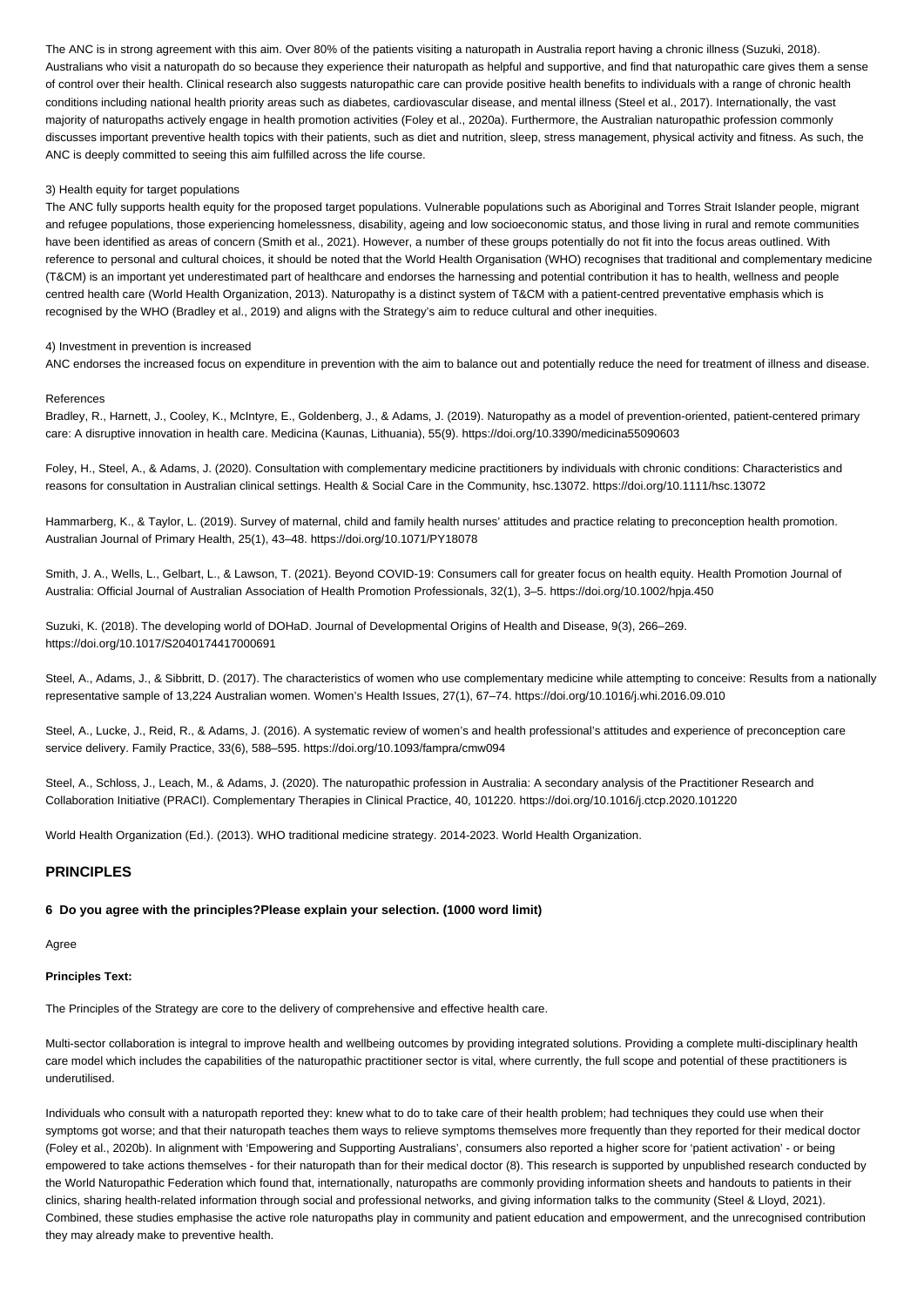The ANC is in strong agreement with this aim. Over 80% of the patients visiting a naturopath in Australia report having a chronic illness (Suzuki, 2018). Australians who visit a naturopath do so because they experience their naturopath as helpful and supportive, and find that naturopathic care gives them a sense of control over their health. Clinical research also suggests naturopathic care can provide positive health benefits to individuals with a range of chronic health conditions including national health priority areas such as diabetes, cardiovascular disease, and mental illness (Steel et al., 2017). Internationally, the vast majority of naturopaths actively engage in health promotion activities (Foley et al., 2020a). Furthermore, the Australian naturopathic profession commonly discusses important preventive health topics with their patients, such as diet and nutrition, sleep, stress management, physical activity and fitness. As such, the ANC is deeply committed to seeing this aim fulfilled across the life course.

### 3) Health equity for target populations

The ANC fully supports health equity for the proposed target populations. Vulnerable populations such as Aboriginal and Torres Strait Islander people, migrant and refugee populations, those experiencing homelessness, disability, ageing and low socioeconomic status, and those living in rural and remote communities have been identified as areas of concern (Smith et al., 2021). However, a number of these groups potentially do not fit into the focus areas outlined. With reference to personal and cultural choices, it should be noted that the World Health Organisation (WHO) recognises that traditional and complementary medicine (T&CM) is an important yet underestimated part of healthcare and endorses the harnessing and potential contribution it has to health, wellness and people centred health care (World Health Organization, 2013). Naturopathy is a distinct system of T&CM with a patient-centred preventative emphasis which is recognised by the WHO (Bradley et al., 2019) and aligns with the Strategy's aim to reduce cultural and other inequities.

#### 4) Investment in prevention is increased

ANC endorses the increased focus on expenditure in prevention with the aim to balance out and potentially reduce the need for treatment of illness and disease.

### References

Bradley, R., Harnett, J., Cooley, K., McIntyre, E., Goldenberg, J., & Adams, J. (2019). Naturopathy as a model of prevention-oriented, patient-centered primary care: A disruptive innovation in health care. Medicina (Kaunas, Lithuania), 55(9). https://doi.org/10.3390/medicina55090603

Foley, H., Steel, A., & Adams, J. (2020). Consultation with complementary medicine practitioners by individuals with chronic conditions: Characteristics and reasons for consultation in Australian clinical settings. Health & Social Care in the Community, hsc.13072. https://doi.org/10.1111/hsc.13072

Hammarberg, K., & Taylor, L. (2019). Survey of maternal, child and family health nurses' attitudes and practice relating to preconception health promotion. Australian Journal of Primary Health, 25(1), 43–48. https://doi.org/10.1071/PY18078

Smith, J. A., Wells, L., Gelbart, L., & Lawson, T. (2021). Beyond COVID-19: Consumers call for greater focus on health equity. Health Promotion Journal of Australia: Official Journal of Australian Association of Health Promotion Professionals, 32(1), 3–5. https://doi.org/10.1002/hpja.450

Suzuki, K. (2018). The developing world of DOHaD. Journal of Developmental Origins of Health and Disease, 9(3), 266–269. https://doi.org/10.1017/S2040174417000691

Steel, A., Adams, J., & Sibbritt, D. (2017). The characteristics of women who use complementary medicine while attempting to conceive: Results from a nationally representative sample of 13,224 Australian women. Women's Health Issues, 27(1), 67–74. https://doi.org/10.1016/j.whi.2016.09.010

Steel, A., Lucke, J., Reid, R., & Adams, J. (2016). A systematic review of women's and health professional's attitudes and experience of preconception care service delivery. Family Practice, 33(6), 588–595. https://doi.org/10.1093/fampra/cmw094

Steel, A., Schloss, J., Leach, M., & Adams, J. (2020). The naturopathic profession in Australia: A secondary analysis of the Practitioner Research and Collaboration Initiative (PRACI). Complementary Therapies in Clinical Practice, 40, 101220. https://doi.org/10.1016/j.ctcp.2020.101220

World Health Organization (Ed.). (2013). WHO traditional medicine strategy. 2014-2023. World Health Organization.

## **PRINCIPLES**

### **6 Do you agree with the principles?Please explain your selection. (1000 word limit)**

Agree

## **Principles Text:**

The Principles of the Strategy are core to the delivery of comprehensive and effective health care.

Multi-sector collaboration is integral to improve health and wellbeing outcomes by providing integrated solutions. Providing a complete multi-disciplinary health care model which includes the capabilities of the naturopathic practitioner sector is vital, where currently, the full scope and potential of these practitioners is underutilised.

Individuals who consult with a naturopath reported they: knew what to do to take care of their health problem; had techniques they could use when their symptoms got worse; and that their naturopath teaches them ways to relieve symptoms themselves more frequently than they reported for their medical doctor (Foley et al., 2020b). In alignment with 'Empowering and Supporting Australians', consumers also reported a higher score for 'patient activation' - or being empowered to take actions themselves - for their naturopath than for their medical doctor (8). This research is supported by unpublished research conducted by the World Naturopathic Federation which found that, internationally, naturopaths are commonly providing information sheets and handouts to patients in their clinics, sharing health-related information through social and professional networks, and giving information talks to the community (Steel & Lloyd, 2021). Combined, these studies emphasise the active role naturopaths play in community and patient education and empowerment, and the unrecognised contribution they may already make to preventive health.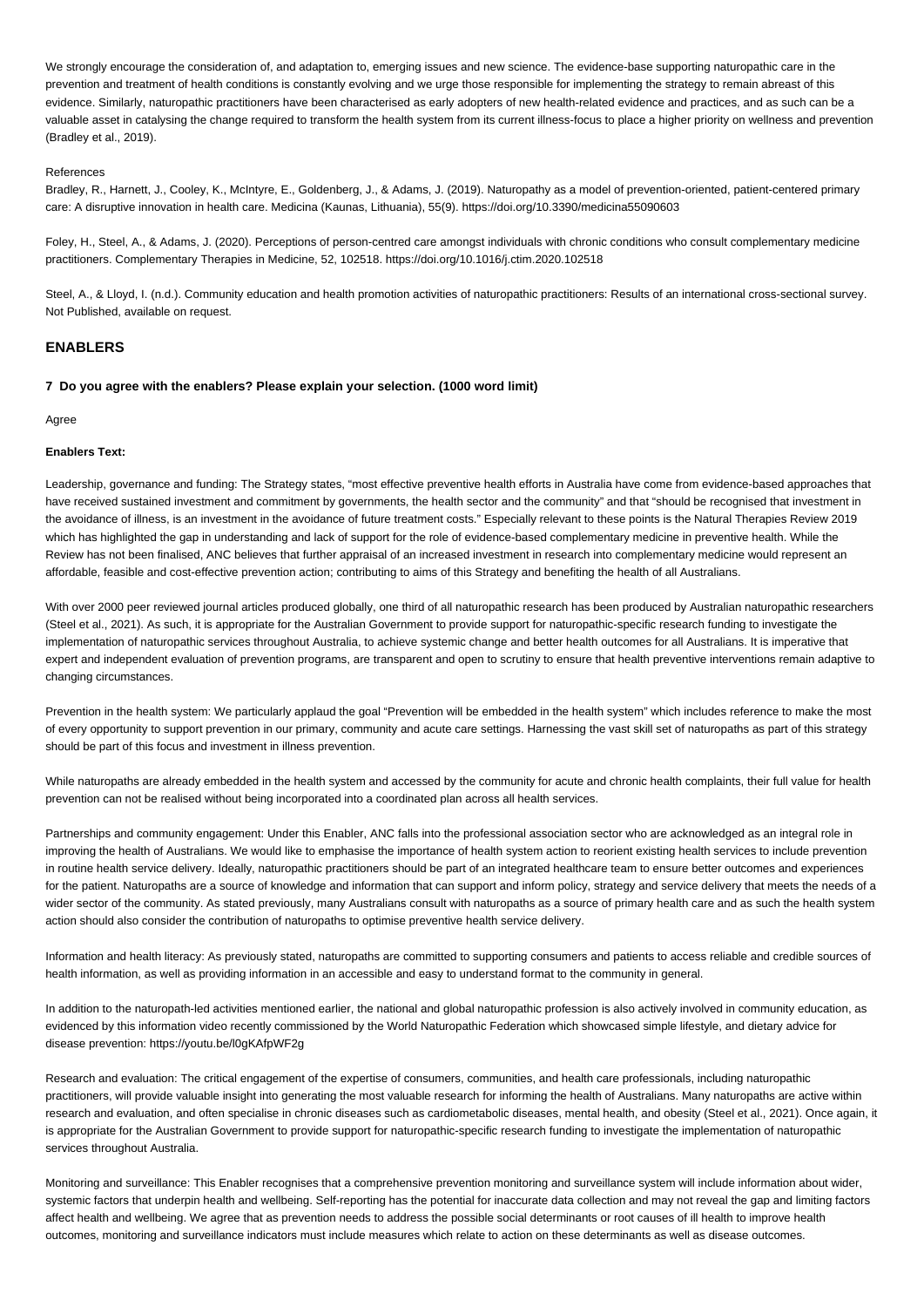We strongly encourage the consideration of, and adaptation to, emerging issues and new science. The evidence-base supporting naturopathic care in the prevention and treatment of health conditions is constantly evolving and we urge those responsible for implementing the strategy to remain abreast of this evidence. Similarly, naturopathic practitioners have been characterised as early adopters of new health-related evidence and practices, and as such can be a valuable asset in catalysing the change required to transform the health system from its current illness-focus to place a higher priority on wellness and prevention (Bradley et al., 2019).

### References

Bradley, R., Harnett, J., Cooley, K., McIntyre, E., Goldenberg, J., & Adams, J. (2019). Naturopathy as a model of prevention-oriented, patient-centered primary care: A disruptive innovation in health care. Medicina (Kaunas, Lithuania), 55(9). https://doi.org/10.3390/medicina55090603

Foley, H., Steel, A., & Adams, J. (2020). Perceptions of person-centred care amongst individuals with chronic conditions who consult complementary medicine practitioners. Complementary Therapies in Medicine, 52, 102518. https://doi.org/10.1016/j.ctim.2020.102518

Steel, A., & Lloyd, I. (n.d.). Community education and health promotion activities of naturopathic practitioners: Results of an international cross-sectional survey. Not Published, available on request.

## **ENABLERS**

## **7 Do you agree with the enablers? Please explain your selection. (1000 word limit)**

Agree

### **Enablers Text:**

Leadership, governance and funding: The Strategy states, "most effective preventive health efforts in Australia have come from evidence-based approaches that have received sustained investment and commitment by governments, the health sector and the community" and that "should be recognised that investment in the avoidance of illness, is an investment in the avoidance of future treatment costs." Especially relevant to these points is the Natural Therapies Review 2019 which has highlighted the gap in understanding and lack of support for the role of evidence-based complementary medicine in preventive health. While the Review has not been finalised, ANC believes that further appraisal of an increased investment in research into complementary medicine would represent an affordable, feasible and cost-effective prevention action; contributing to aims of this Strategy and benefiting the health of all Australians.

With over 2000 peer reviewed journal articles produced globally, one third of all naturopathic research has been produced by Australian naturopathic researchers (Steel et al., 2021). As such, it is appropriate for the Australian Government to provide support for naturopathic-specific research funding to investigate the implementation of naturopathic services throughout Australia, to achieve systemic change and better health outcomes for all Australians. It is imperative that expert and independent evaluation of prevention programs, are transparent and open to scrutiny to ensure that health preventive interventions remain adaptive to changing circumstances.

Prevention in the health system: We particularly applaud the goal "Prevention will be embedded in the health system" which includes reference to make the most of every opportunity to support prevention in our primary, community and acute care settings. Harnessing the vast skill set of naturopaths as part of this strategy should be part of this focus and investment in illness prevention.

While naturopaths are already embedded in the health system and accessed by the community for acute and chronic health complaints, their full value for health prevention can not be realised without being incorporated into a coordinated plan across all health services.

Partnerships and community engagement: Under this Enabler, ANC falls into the professional association sector who are acknowledged as an integral role in improving the health of Australians. We would like to emphasise the importance of health system action to reorient existing health services to include prevention in routine health service delivery. Ideally, naturopathic practitioners should be part of an integrated healthcare team to ensure better outcomes and experiences for the patient. Naturopaths are a source of knowledge and information that can support and inform policy, strategy and service delivery that meets the needs of a wider sector of the community. As stated previously, many Australians consult with naturopaths as a source of primary health care and as such the health system action should also consider the contribution of naturopaths to optimise preventive health service delivery.

Information and health literacy: As previously stated, naturopaths are committed to supporting consumers and patients to access reliable and credible sources of health information, as well as providing information in an accessible and easy to understand format to the community in general.

In addition to the naturopath-led activities mentioned earlier, the national and global naturopathic profession is also actively involved in community education, as evidenced by this information video recently commissioned by the World Naturopathic Federation which showcased simple lifestyle, and dietary advice for disease prevention: https://youtu.be/l0gKAfpWF2g

Research and evaluation: The critical engagement of the expertise of consumers, communities, and health care professionals, including naturopathic practitioners, will provide valuable insight into generating the most valuable research for informing the health of Australians. Many naturopaths are active within research and evaluation, and often specialise in chronic diseases such as cardiometabolic diseases, mental health, and obesity (Steel et al., 2021). Once again, it is appropriate for the Australian Government to provide support for naturopathic-specific research funding to investigate the implementation of naturopathic services throughout Australia.

Monitoring and surveillance: This Enabler recognises that a comprehensive prevention monitoring and surveillance system will include information about wider, systemic factors that underpin health and wellbeing. Self-reporting has the potential for inaccurate data collection and may not reveal the gap and limiting factors affect health and wellbeing. We agree that as prevention needs to address the possible social determinants or root causes of ill health to improve health outcomes, monitoring and surveillance indicators must include measures which relate to action on these determinants as well as disease outcomes.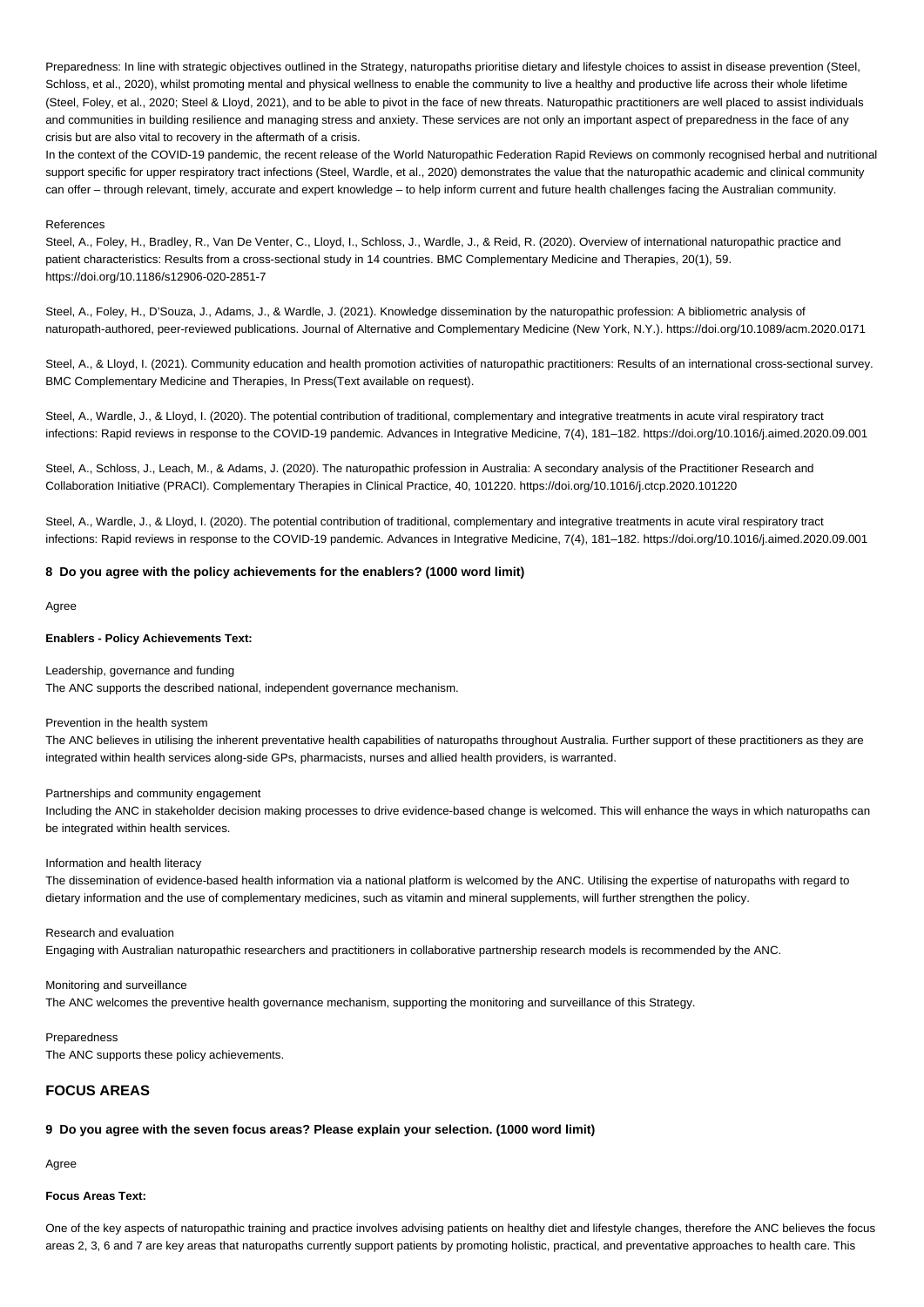Preparedness: In line with strategic objectives outlined in the Strategy, naturopaths prioritise dietary and lifestyle choices to assist in disease prevention (Steel, Schloss, et al., 2020), whilst promoting mental and physical wellness to enable the community to live a healthy and productive life across their whole lifetime (Steel, Foley, et al., 2020; Steel & Lloyd, 2021), and to be able to pivot in the face of new threats. Naturopathic practitioners are well placed to assist individuals and communities in building resilience and managing stress and anxiety. These services are not only an important aspect of preparedness in the face of any crisis but are also vital to recovery in the aftermath of a crisis.

In the context of the COVID-19 pandemic, the recent release of the World Naturopathic Federation Rapid Reviews on commonly recognised herbal and nutritional support specific for upper respiratory tract infections (Steel, Wardle, et al., 2020) demonstrates the value that the naturopathic academic and clinical community can offer – through relevant, timely, accurate and expert knowledge – to help inform current and future health challenges facing the Australian community.

#### References

Steel, A., Foley, H., Bradley, R., Van De Venter, C., Lloyd, I., Schloss, J., Wardle, J., & Reid, R. (2020). Overview of international naturopathic practice and patient characteristics: Results from a cross-sectional study in 14 countries. BMC Complementary Medicine and Therapies, 20(1), 59. https://doi.org/10.1186/s12906-020-2851-7

Steel, A., Foley, H., D'Souza, J., Adams, J., & Wardle, J. (2021). Knowledge dissemination by the naturopathic profession: A bibliometric analysis of naturopath-authored, peer-reviewed publications. Journal of Alternative and Complementary Medicine (New York, N.Y.). https://doi.org/10.1089/acm.2020.0171

Steel, A., & Lloyd, I. (2021). Community education and health promotion activities of naturopathic practitioners: Results of an international cross-sectional survey. BMC Complementary Medicine and Therapies, In Press(Text available on request).

Steel, A., Wardle, J., & Lloyd, I. (2020). The potential contribution of traditional, complementary and integrative treatments in acute viral respiratory tract infections: Rapid reviews in response to the COVID-19 pandemic. Advances in Integrative Medicine, 7(4), 181–182. https://doi.org/10.1016/j.aimed.2020.09.001

Steel, A., Schloss, J., Leach, M., & Adams, J. (2020). The naturopathic profession in Australia: A secondary analysis of the Practitioner Research and Collaboration Initiative (PRACI). Complementary Therapies in Clinical Practice, 40, 101220. https://doi.org/10.1016/j.ctcp.2020.101220

Steel, A., Wardle, J., & Lloyd, I. (2020). The potential contribution of traditional, complementary and integrative treatments in acute viral respiratory tract infections: Rapid reviews in response to the COVID-19 pandemic. Advances in Integrative Medicine, 7(4), 181–182. https://doi.org/10.1016/j.aimed.2020.09.001

### **8 Do you agree with the policy achievements for the enablers? (1000 word limit)**

#### Agree

### **Enablers - Policy Achievements Text:**

#### Leadership, governance and funding

The ANC supports the described national, independent governance mechanism.

### Prevention in the health system

The ANC believes in utilising the inherent preventative health capabilities of naturopaths throughout Australia. Further support of these practitioners as they are integrated within health services along-side GPs, pharmacists, nurses and allied health providers, is warranted.

## Partnerships and community engagement

Including the ANC in stakeholder decision making processes to drive evidence-based change is welcomed. This will enhance the ways in which naturopaths can be integrated within health services.

### Information and health literacy

The dissemination of evidence-based health information via a national platform is welcomed by the ANC. Utilising the expertise of naturopaths with regard to dietary information and the use of complementary medicines, such as vitamin and mineral supplements, will further strengthen the policy.

#### Research and evaluation

Engaging with Australian naturopathic researchers and practitioners in collaborative partnership research models is recommended by the ANC.

## Monitoring and surveillance

The ANC welcomes the preventive health governance mechanism, supporting the monitoring and surveillance of this Strategy.

## **Preparedness**

The ANC supports these policy achievements.

# **FOCUS AREAS**

## **9 Do you agree with the seven focus areas? Please explain your selection. (1000 word limit)**

Agree

### **Focus Areas Text:**

One of the key aspects of naturopathic training and practice involves advising patients on healthy diet and lifestyle changes, therefore the ANC believes the focus areas 2, 3, 6 and 7 are key areas that naturopaths currently support patients by promoting holistic, practical, and preventative approaches to health care. This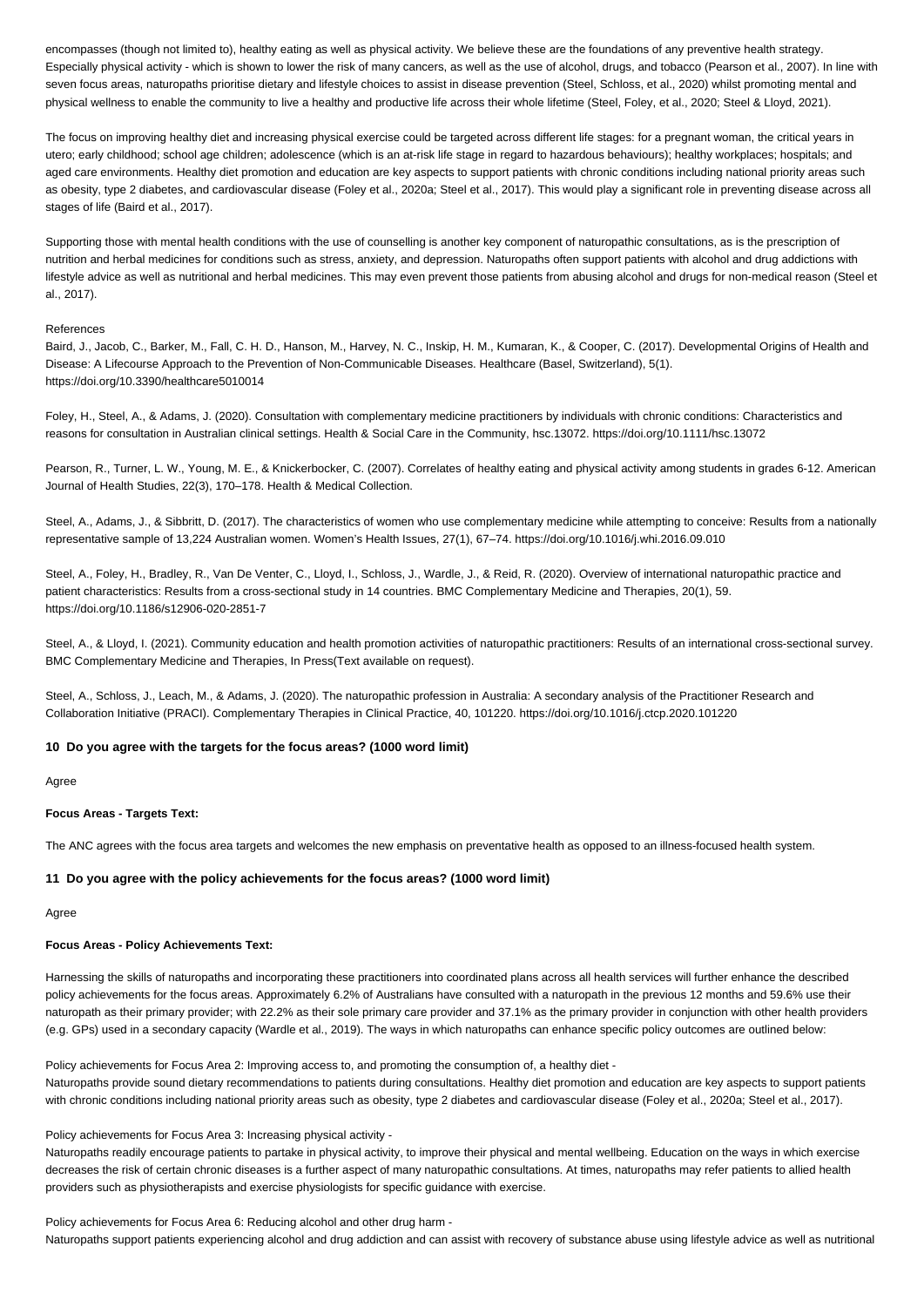encompasses (though not limited to), healthy eating as well as physical activity. We believe these are the foundations of any preventive health strategy. Especially physical activity - which is shown to lower the risk of many cancers, as well as the use of alcohol, drugs, and tobacco (Pearson et al., 2007). In line with seven focus areas, naturopaths prioritise dietary and lifestyle choices to assist in disease prevention (Steel, Schloss, et al., 2020) whilst promoting mental and physical wellness to enable the community to live a healthy and productive life across their whole lifetime (Steel, Foley, et al., 2020; Steel & Lloyd, 2021).

The focus on improving healthy diet and increasing physical exercise could be targeted across different life stages: for a pregnant woman, the critical years in utero; early childhood; school age children; adolescence (which is an at-risk life stage in regard to hazardous behaviours); healthy workplaces; hospitals; and aged care environments. Healthy diet promotion and education are key aspects to support patients with chronic conditions including national priority areas such as obesity, type 2 diabetes, and cardiovascular disease (Foley et al., 2020a; Steel et al., 2017). This would play a significant role in preventing disease across all stages of life (Baird et al., 2017).

Supporting those with mental health conditions with the use of counselling is another key component of naturopathic consultations, as is the prescription of nutrition and herbal medicines for conditions such as stress, anxiety, and depression. Naturopaths often support patients with alcohol and drug addictions with lifestyle advice as well as nutritional and herbal medicines. This may even prevent those patients from abusing alcohol and drugs for non-medical reason (Steel et al., 2017).

### References

Baird, J., Jacob, C., Barker, M., Fall, C. H. D., Hanson, M., Harvey, N. C., Inskip, H. M., Kumaran, K., & Cooper, C. (2017). Developmental Origins of Health and Disease: A Lifecourse Approach to the Prevention of Non-Communicable Diseases. Healthcare (Basel, Switzerland), 5(1). https://doi.org/10.3390/healthcare5010014

Foley, H., Steel, A., & Adams, J. (2020). Consultation with complementary medicine practitioners by individuals with chronic conditions: Characteristics and reasons for consultation in Australian clinical settings. Health & Social Care in the Community, hsc.13072. https://doi.org/10.1111/hsc.13072

Pearson, R., Turner, L. W., Young, M. E., & Knickerbocker, C. (2007). Correlates of healthy eating and physical activity among students in grades 6-12. American Journal of Health Studies, 22(3), 170–178. Health & Medical Collection.

Steel, A., Adams, J., & Sibbritt, D. (2017). The characteristics of women who use complementary medicine while attempting to conceive: Results from a nationally representative sample of 13,224 Australian women. Women's Health Issues, 27(1), 67–74. https://doi.org/10.1016/j.whi.2016.09.010

Steel, A., Foley, H., Bradley, R., Van De Venter, C., Lloyd, I., Schloss, J., Wardle, J., & Reid, R. (2020). Overview of international naturopathic practice and patient characteristics: Results from a cross-sectional study in 14 countries. BMC Complementary Medicine and Therapies, 20(1), 59. https://doi.org/10.1186/s12906-020-2851-7

Steel, A., & Lloyd, I. (2021). Community education and health promotion activities of naturopathic practitioners: Results of an international cross-sectional survey. BMC Complementary Medicine and Therapies, In Press(Text available on request).

Steel, A., Schloss, J., Leach, M., & Adams, J. (2020). The naturopathic profession in Australia: A secondary analysis of the Practitioner Research and Collaboration Initiative (PRACI). Complementary Therapies in Clinical Practice, 40, 101220. https://doi.org/10.1016/j.ctcp.2020.101220

## **10 Do you agree with the targets for the focus areas? (1000 word limit)**

Agree

#### **Focus Areas - Targets Text:**

The ANC agrees with the focus area targets and welcomes the new emphasis on preventative health as opposed to an illness-focused health system.

#### **11 Do you agree with the policy achievements for the focus areas? (1000 word limit)**

Agree

### **Focus Areas - Policy Achievements Text:**

Harnessing the skills of naturopaths and incorporating these practitioners into coordinated plans across all health services will further enhance the described policy achievements for the focus areas. Approximately 6.2% of Australians have consulted with a naturopath in the previous 12 months and 59.6% use their naturopath as their primary provider; with 22.2% as their sole primary care provider and 37.1% as the primary provider in conjunction with other health providers (e.g. GPs) used in a secondary capacity (Wardle et al., 2019). The ways in which naturopaths can enhance specific policy outcomes are outlined below:

Policy achievements for Focus Area 2: Improving access to, and promoting the consumption of, a healthy diet - Naturopaths provide sound dietary recommendations to patients during consultations. Healthy diet promotion and education are key aspects to support patients with chronic conditions including national priority areas such as obesity, type 2 diabetes and cardiovascular disease (Foley et al., 2020a; Steel et al., 2017).

#### Policy achievements for Focus Area 3: Increasing physical activity -

Naturopaths readily encourage patients to partake in physical activity, to improve their physical and mental wellbeing. Education on the ways in which exercise decreases the risk of certain chronic diseases is a further aspect of many naturopathic consultations. At times, naturopaths may refer patients to allied health providers such as physiotherapists and exercise physiologists for specific guidance with exercise.

Policy achievements for Focus Area 6: Reducing alcohol and other drug harm - Naturopaths support patients experiencing alcohol and drug addiction and can assist with recovery of substance abuse using lifestyle advice as well as nutritional